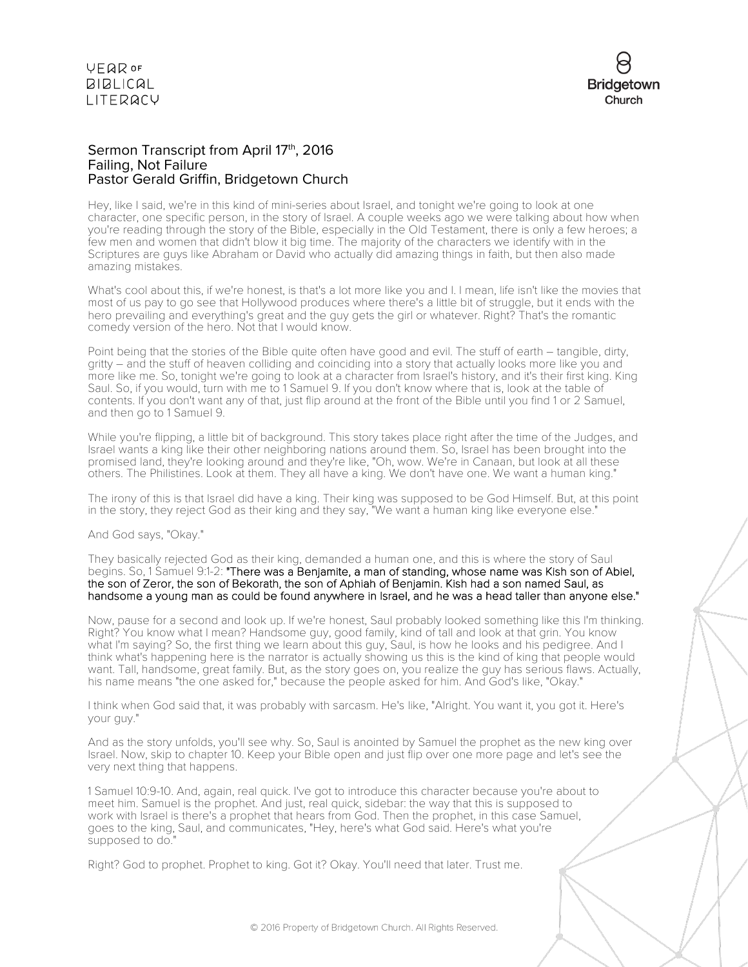

### Sermon Transcript from April 17th, 2016 Failing, Not Failure Pastor Gerald Griffin, Bridgetown Church

Hey, like I said, we're in this kind of mini-series about Israel, and tonight we're going to look at one character, one specific person, in the story of Israel. A couple weeks ago we were talking about how when you're reading through the story of the Bible, especially in the Old Testament, there is only a few heroes; a few men and women that didn't blow it big time. The majority of the characters we identify with in the Scriptures are guys like Abraham or David who actually did amazing things in faith, but then also made amazing mistakes.

What's cool about this, if we're honest, is that's a lot more like you and I. I mean, life isn't like the movies that most of us pay to go see that Hollywood produces where there's a little bit of struggle, but it ends with the hero prevailing and everything's great and the guy gets the girl or whatever. Right? That's the romantic comedy version of the hero. Not that I would know.

Point being that the stories of the Bible quite often have good and evil. The stuff of earth – tangible, dirty, gritty – and the stuff of heaven colliding and coinciding into a story that actually looks more like you and more like me. So, tonight we're going to look at a character from Israel's history, and it's their first king. King Saul. So, if you would, turn with me to 1 Samuel 9. If you don't know where that is, look at the table of contents. If you don't want any of that, just flip around at the front of the Bible until you find 1 or 2 Samuel, and then go to 1 Samuel 9.

While you're flipping, a little bit of background. This story takes place right after the time of the Judges, and Israel wants a king like their other neighboring nations around them. So, Israel has been brought into the promised land, they're looking around and they're like, "Oh, wow. We're in Canaan, but look at all these others. The Philistines. Look at them. They all have a king. We don't have one. We want a human king."

The irony of this is that Israel did have a king. Their king was supposed to be God Himself. But, at this point in the story, they reject God as their king and they say, "We want a human king like everyone else."

And God says, "Okay."

They basically rejected God as their king, demanded a human one, and this is where the story of Saul begins. So, 1 Samuel 9:1-2: "There was a Benjamite, a man of standing, whose name was Kish son of Abiel, the son of Zeror, the son of Bekorath, the son of Aphiah of Benjamin. Kish had a son named Saul, as handsome a young man as could be found anywhere in Israel, and he was a head taller than anyone else."

Now, pause for a second and look up. If we're honest, Saul probably looked something like this I'm thinking. Right? You know what I mean? Handsome guy, good family, kind of tall and look at that grin. You know what I'm saying? So, the first thing we learn about this guy, Saul, is how he looks and his pedigree. And I think what's happening here is the narrator is actually showing us this is the kind of king that people would want. Tall, handsome, great family. But, as the story goes on, you realize the guy has serious flaws. Actually, his name means "the one asked for," because the people asked for him. And God's like, "Okay."

I think when God said that, it was probably with sarcasm. He's like, "Alright. You want it, you got it. Here's your guy."

And as the story unfolds, you'll see why. So, Saul is anointed by Samuel the prophet as the new king over Israel. Now, skip to chapter 10. Keep your Bible open and just flip over one more page and let's see the very next thing that happens.

1 Samuel 10:9-10. And, again, real quick. I've got to introduce this character because you're about to meet him. Samuel is the prophet. And just, real quick, sidebar: the way that this is supposed to work with Israel is there's a prophet that hears from God. Then the prophet, in this case Samuel, goes to the king, Saul, and communicates, "Hey, here's what God said. Here's what you're supposed to do."

Right? God to prophet. Prophet to king. Got it? Okay. You'll need that later. Trust me.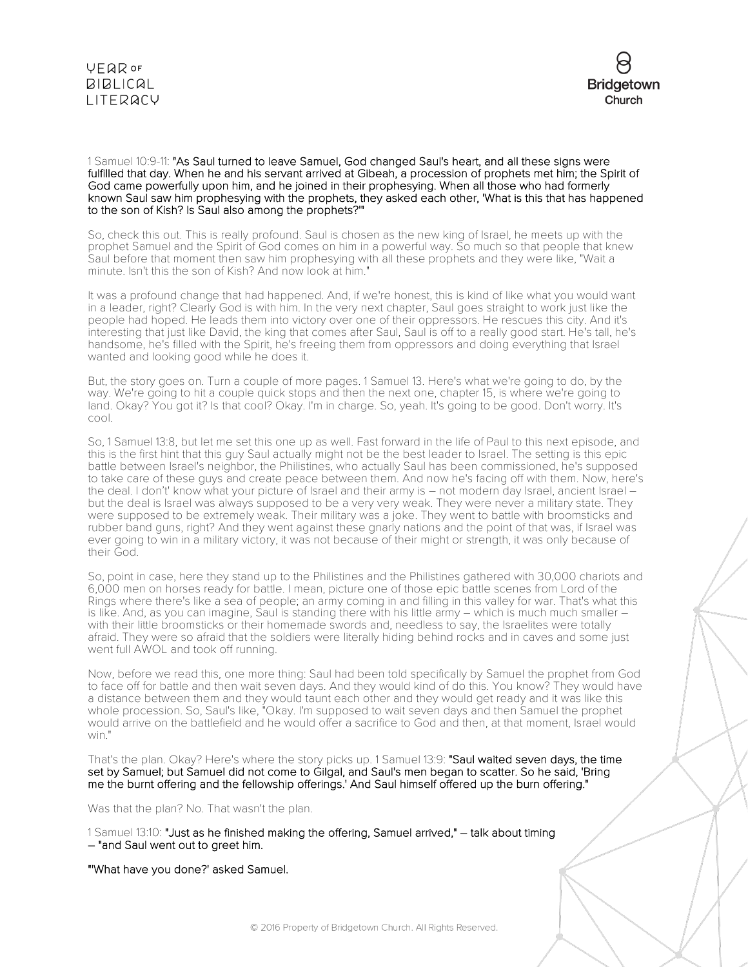



1 Samuel 10:9-11: "As Saul turned to leave Samuel, God changed Saul's heart, and all these signs were fulfilled that day. When he and his servant arrived at Gibeah, a procession of prophets met him; the Spirit of God came powerfully upon him, and he joined in their prophesying. When all those who had formerly known Saul saw him prophesying with the prophets, they asked each other, 'What is this that has happened to the son of Kish? Is Saul also among the prophets?'"

So, check this out. This is really profound. Saul is chosen as the new king of Israel, he meets up with the prophet Samuel and the Spirit of God comes on him in a powerful way. So much so that people that knew Saul before that moment then saw him prophesying with all these prophets and they were like, "Wait a minute. Isn't this the son of Kish? And now look at him."

It was a profound change that had happened. And, if we're honest, this is kind of like what you would want in a leader, right? Clearly God is with him. In the very next chapter, Saul goes straight to work just like the people had hoped. He leads them into victory over one of their oppressors. He rescues this city. And it's interesting that just like David, the king that comes after Saul, Saul is off to a really good start. He's tall, he's handsome, he's filled with the Spirit, he's freeing them from oppressors and doing everything that Israel wanted and looking good while he does it.

But, the story goes on. Turn a couple of more pages. 1 Samuel 13. Here's what we're going to do, by the way. We're going to hit a couple quick stops and then the next one, chapter 15, is where we're going to land. Okay? You got it? Is that cool? Okay. I'm in charge. So, yeah. It's going to be good. Don't worry. It's cool.

So, 1 Samuel 13:8, but let me set this one up as well. Fast forward in the life of Paul to this next episode, and this is the first hint that this guy Saul actually might not be the best leader to Israel. The setting is this epic battle between Israel's neighbor, the Philistines, who actually Saul has been commissioned, he's supposed to take care of these guys and create peace between them. And now he's facing off with them. Now, here's the deal. I don't' know what your picture of Israel and their army is – not modern day Israel, ancient Israel – but the deal is Israel was always supposed to be a very very weak. They were never a military state. They were supposed to be extremely weak. Their military was a joke. They went to battle with broomsticks and rubber band guns, right? And they went against these gnarly nations and the point of that was, if Israel was ever going to win in a military victory, it was not because of their might or strength, it was only because of their God.

So, point in case, here they stand up to the Philistines and the Philistines gathered with 30,000 chariots and 6,000 men on horses ready for battle. I mean, picture one of those epic battle scenes from Lord of the Rings where there's like a sea of people; an army coming in and filling in this valley for war. That's what this is like. And, as you can imagine, Saul is standing there with his little army – which is much much smaller – with their little broomsticks or their homemade swords and, needless to say, the Israelites were totally afraid. They were so afraid that the soldiers were literally hiding behind rocks and in caves and some just went full AWOL and took off running.

Now, before we read this, one more thing: Saul had been told specifically by Samuel the prophet from God to face off for battle and then wait seven days. And they would kind of do this. You know? They would have a distance between them and they would taunt each other and they would get ready and it was like this whole procession. So, Saul's like, "Okay. I'm supposed to wait seven days and then Samuel the prophet would arrive on the battlefield and he would offer a sacrifice to God and then, at that moment, Israel would win."

That's the plan. Okay? Here's where the story picks up. 1 Samuel 13:9: "Saul waited seven days, the time set by Samuel; but Samuel did not come to Gilgal, and Saul's men began to scatter. So he said, 'Bring me the burnt offering and the fellowship offerings.' And Saul himself offered up the burn offering."

Was that the plan? No. That wasn't the plan.

1 Samuel 13:10: "Just as he finished making the offering, Samuel arrived," – talk about timing – "and Saul went out to greet him.

"'What have you done?' asked Samuel.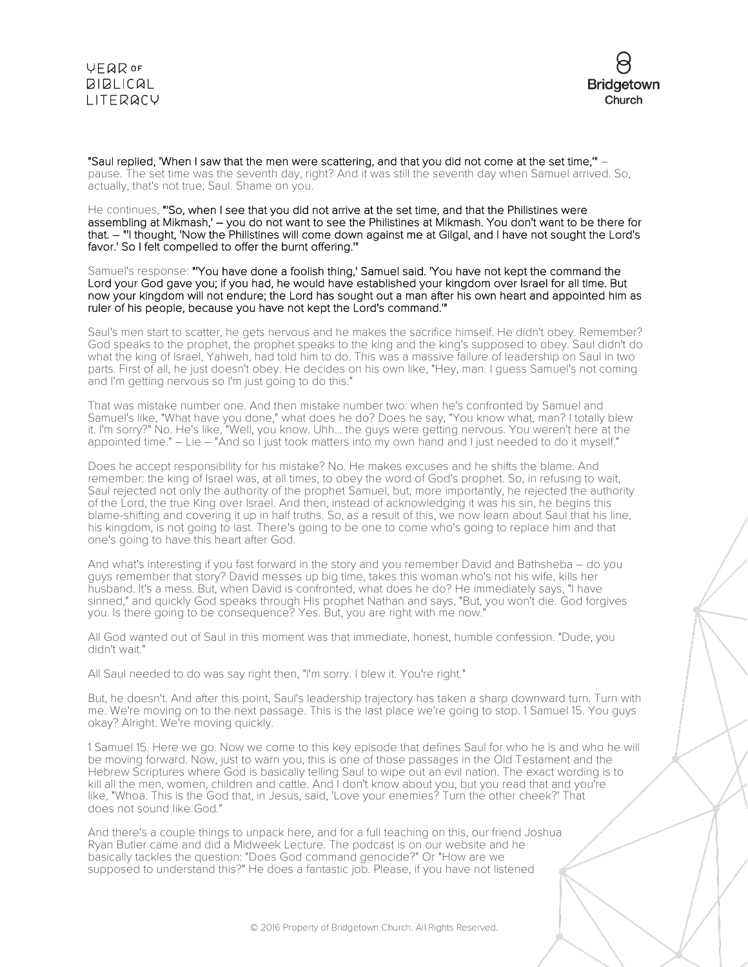### **VEQR OF BIBLICAL** LITERACY



"Saul replied, 'When I saw that the men were scattering, and that you did not come at the set time,'" – pause. The set time was the seventh day, right? And it was still the seventh day when Samuel arrived. So, actually, that's not true, Saul. Shame on you.

He continues, "'So, when I see that you did not arrive at the set time, and that the Philistines were assembling at Mikmash,' – you do not want to see the Philistines at Mikmash. You don't want to be there for that. – "'I thought, 'Now the Philistines will come down against me at Gilgal, and I have not sought the Lord's favor.' So I felt compelled to offer the burnt offering.'"

Samuel's response: "'You have done a foolish thing,' Samuel said. 'You have not kept the command the Lord your God gave you; if you had, he would have established your kingdom over Israel for all time. But now your kingdom will not endure; the Lord has sought out a man after his own heart and appointed him as ruler of his people, because you have not kept the Lord's command.'"

Saul's men start to scatter, he gets nervous and he makes the sacrifice himself. He didn't obey. Remember? God speaks to the prophet, the prophet speaks to the king and the king's supposed to obey. Saul didn't do what the king of Israel, Yahweh, had told him to do. This was a massive failure of leadership on Saul in two parts. First of all, he just doesn't obey. He decides on his own like, "Hey, man. I guess Samuel's not coming and I'm getting nervous so I'm just going to do this."

That was mistake number one. And then mistake number two: when he's confronted by Samuel and Samuel's like, "What have you done," what does he do? Does he say, "You know what, man? I totally blew it. I'm sorry?" No. He's like, "Well, you know. Uhh... the guys were getting nervous. You weren't here at the appointed time." – Lie – "And so I just took matters into my own hand and I just needed to do it myself."

Does he accept responsibility for his mistake? No. He makes excuses and he shifts the blame. And remember: the king of Israel was, at all times, to obey the word of God's prophet. So, in refusing to wait, Saul rejected not only the authority of the prophet Samuel, but, more importantly, he rejected the authority of the Lord, the true King over Israel. And then, instead of acknowledging it was his sin, he begins this blame-shifting and covering it up in half truths. So, as a result of this, we now learn about Saul that his line, his kingdom, is not going to last. There's going to be one to come who's going to replace him and that one's going to have this heart after God.

And what's interesting if you fast forward in the story and you remember David and Bathsheba – do you guys remember that story? David messes up big time, takes this woman who's not his wife, kills her husband. It's a mess. But, when David is confronted, what does he do? He immediately says, "I have sinned," and quickly God speaks through His prophet Nathan and says, "But, you won't die. God forgives you. Is there going to be consequence? Yes. But, you are right with me now."

All God wanted out of Saul in this moment was that immediate, honest, humble confession. "Dude, you didn't wait."

All Saul needed to do was say right then, "I'm sorry. I blew it. You're right."

But, he doesn't. And after this point, Saul's leadership trajectory has taken a sharp downward turn. Turn with me. We're moving on to the next passage. This is the last place we're going to stop. 1 Samuel 15. You guys okay? Alright. We're moving quickly.

1 Samuel 15. Here we go. Now we come to this key episode that defines Saul for who he is and who he will be moving forward. Now, just to warn you, this is one of those passages in the Old Testament and the Hebrew Scriptures where God is basically telling Saul to wipe out an evil nation. The exact wording is to kill all the men, women, children and cattle. And I don't know about you, but you read that and you're like, "Whoa. This is the God that, in Jesus, said, 'Love your enemies? Turn the other cheek?' That does not sound like God."

And there's a couple things to unpack here, and for a full teaching on this, our friend Joshua Ryan Butler came and did a Midweek Lecture. The podcast is on our website and he basically tackles the question: "Does God command genocide?" Or "How are we supposed to understand this?" He does a fantastic job. Please, if you have not listened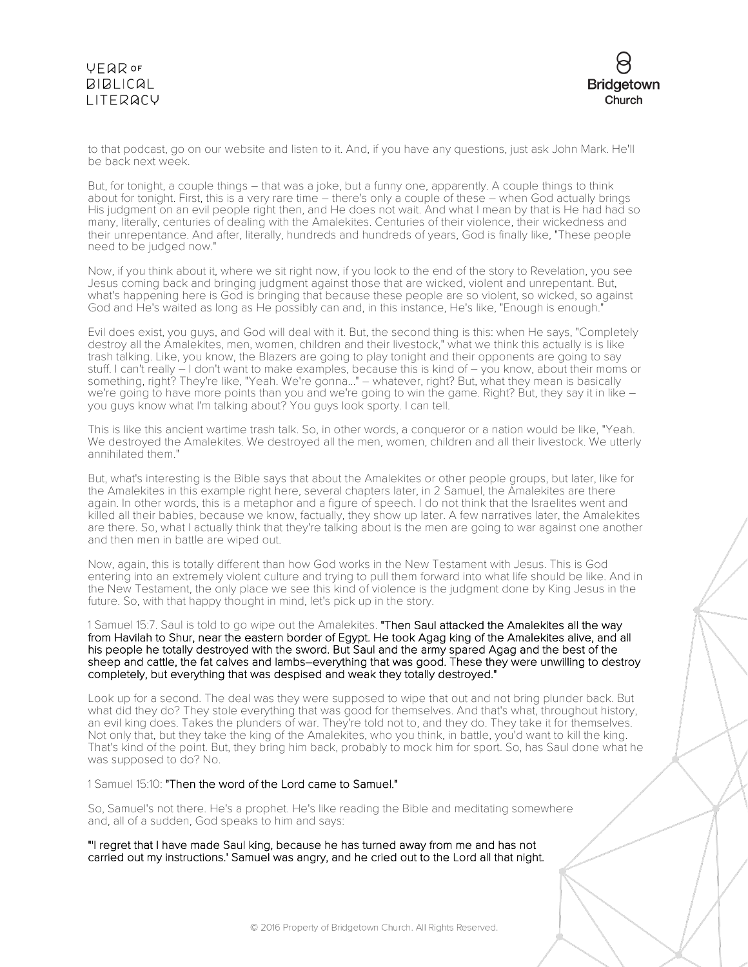# **VFQR OF BIBLICAL** LITERACY



to that podcast, go on our website and listen to it. And, if you have any questions, just ask John Mark. He'll be back next week.

But, for tonight, a couple things – that was a joke, but a funny one, apparently. A couple things to think about for tonight. First, this is a very rare time – there's only a couple of these – when God actually brings His judgment on an evil people right then, and He does not wait. And what I mean by that is He had had so many, literally, centuries of dealing with the Amalekites. Centuries of their violence, their wickedness and their unrepentance. And after, literally, hundreds and hundreds of years, God is finally like, "These people need to be judged now."

Now, if you think about it, where we sit right now, if you look to the end of the story to Revelation, you see Jesus coming back and bringing judgment against those that are wicked, violent and unrepentant. But, what's happening here is God is bringing that because these people are so violent, so wicked, so against God and He's waited as long as He possibly can and, in this instance, He's like, "Enough is enough."

Evil does exist, you guys, and God will deal with it. But, the second thing is this: when He says, "Completely destroy all the Amalekites, men, women, children and their livestock," what we think this actually is is like trash talking. Like, you know, the Blazers are going to play tonight and their opponents are going to say stuff. I can't really – I don't want to make examples, because this is kind of – you know, about their moms or something, right? They're like, "Yeah. We're gonna..." – whatever, right? But, what they mean is basically we're going to have more points than you and we're going to win the game. Right? But, they say it in like – you guys know what I'm talking about? You guys look sporty. I can tell.

This is like this ancient wartime trash talk. So, in other words, a conqueror or a nation would be like, "Yeah. We destroyed the Amalekites. We destroyed all the men, women, children and all their livestock. We utterly annihilated them."

But, what's interesting is the Bible says that about the Amalekites or other people groups, but later, like for the Amalekites in this example right here, several chapters later, in 2 Samuel, the Amalekites are there again. In other words, this is a metaphor and a figure of speech. I do not think that the Israelites went and killed all their babies, because we know, factually, they show up later. A few narratives later, the Amalekites are there. So, what I actually think that they're talking about is the men are going to war against one another and then men in battle are wiped out.

Now, again, this is totally different than how God works in the New Testament with Jesus. This is God entering into an extremely violent culture and trying to pull them forward into what life should be like. And in the New Testament, the only place we see this kind of violence is the judgment done by King Jesus in the future. So, with that happy thought in mind, let's pick up in the story.

1 Samuel 15:7. Saul is told to go wipe out the Amalekites. "Then Saul attacked the Amalekites all the way from Havilah to Shur, near the eastern border of Egypt. He took Agag king of the Amalekites alive, and all his people he totally destroyed with the sword. But Saul and the army spared Agag and the best of the sheep and cattle, the fat calves and lambs–everything that was good. These they were unwilling to destroy completely, but everything that was despised and weak they totally destroyed."

Look up for a second. The deal was they were supposed to wipe that out and not bring plunder back. But what did they do? They stole everything that was good for themselves. And that's what, throughout history, an evil king does. Takes the plunders of war. They're told not to, and they do. They take it for themselves. Not only that, but they take the king of the Amalekites, who you think, in battle, you'd want to kill the king. That's kind of the point. But, they bring him back, probably to mock him for sport. So, has Saul done what he was supposed to do? No.

1 Samuel 15:10: "Then the word of the Lord came to Samuel."

So, Samuel's not there. He's a prophet. He's like reading the Bible and meditating somewhere and, all of a sudden, God speaks to him and says:

"'I regret that I have made Saul king, because he has turned away from me and has not carried out my instructions.' Samuel was angry, and he cried out to the Lord all that night.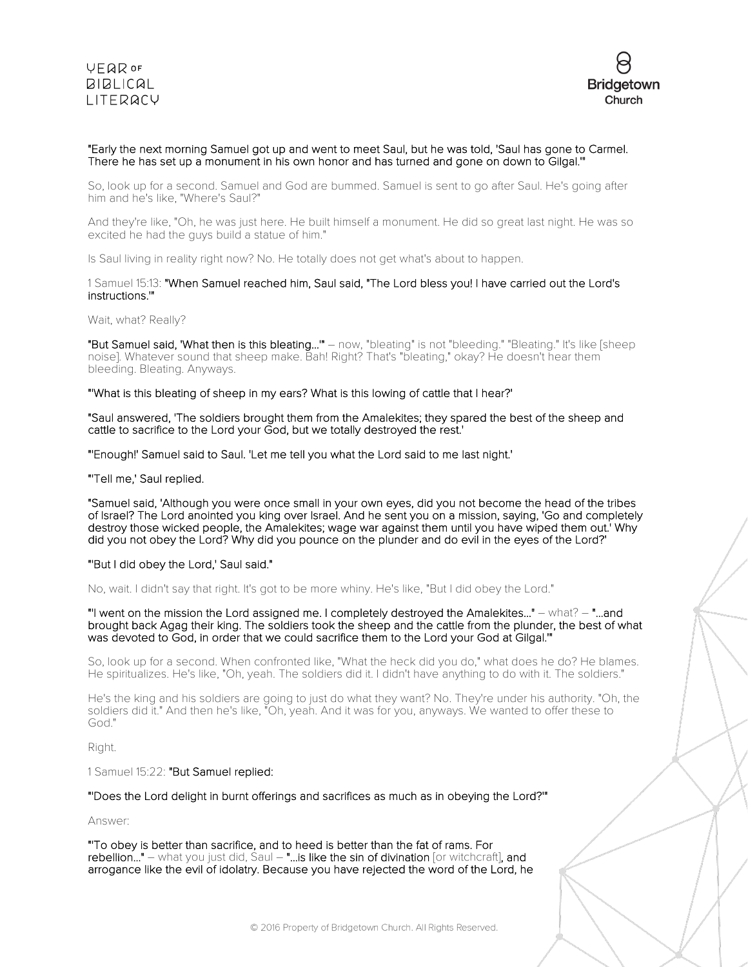

### "Early the next morning Samuel got up and went to meet Saul, but he was told, 'Saul has gone to Carmel. There he has set up a monument in his own honor and has turned and gone on down to Gilgal.'"

So, look up for a second. Samuel and God are bummed. Samuel is sent to go after Saul. He's going after him and he's like, "Where's Saul?"

And they're like, "Oh, he was just here. He built himself a monument. He did so great last night. He was so excited he had the guys build a statue of him."

Is Saul living in reality right now? No. He totally does not get what's about to happen.

#### 1 Samuel 15:13: "When Samuel reached him, Saul said, "The Lord bless you! I have carried out the Lord's instructions.'"

#### Wait, what? Really?

"But Samuel said, 'What then is this bleating...'" – now, "bleating" is not "bleeding." "Bleating." It's like [sheep noise]. Whatever sound that sheep make. Bah! Right? That's "bleating," okay? He doesn't hear them bleeding. Bleating. Anyways.

#### "'What is this bleating of sheep in my ears? What is this lowing of cattle that I hear?'

"Saul answered, 'The soldiers brought them from the Amalekites; they spared the best of the sheep and cattle to sacrifice to the Lord your God, but we totally destroyed the rest.'

"'Enough!' Samuel said to Saul. 'Let me tell you what the Lord said to me last night.'

"'Tell me,' Saul replied.

"Samuel said, 'Although you were once small in your own eyes, did you not become the head of the tribes of Israel? The Lord anointed you king over Israel. And he sent you on a mission, saying, 'Go and completely destroy those wicked people, the Amalekites; wage war against them until you have wiped them out.' Why did you not obey the Lord? Why did you pounce on the plunder and do evil in the eyes of the Lord?'

#### "'But I did obey the Lord,' Saul said."

No, wait. I didn't say that right. It's got to be more whiny. He's like, "But I did obey the Lord."

"'I went on the mission the Lord assigned me. I completely destroyed the Amalekites..." – what? – "...and brought back Agag their king. The soldiers took the sheep and the cattle from the plunder, the best of what was devoted to God, in order that we could sacrifice them to the Lord your God at Gilgal.'"

So, look up for a second. When confronted like, "What the heck did you do," what does he do? He blames. He spiritualizes. He's like, "Oh, yeah. The soldiers did it. I didn't have anything to do with it. The soldiers."

He's the king and his soldiers are going to just do what they want? No. They're under his authority. "Oh, the soldiers did it." And then he's like, "Oh, yeah. And it was for you, anyways. We wanted to offer these to God."

Right.

1 Samuel 15:22: "But Samuel replied:

"'Does the Lord delight in burnt offerings and sacrifices as much as in obeying the Lord?'"

Answer:

"'To obey is better than sacrifice, and to heed is better than the fat of rams. For rebellion..." - what you just did, Saul - "... is like the sin of divination [or witchcraft], and arrogance like the evil of idolatry. Because you have rejected the word of the Lord, he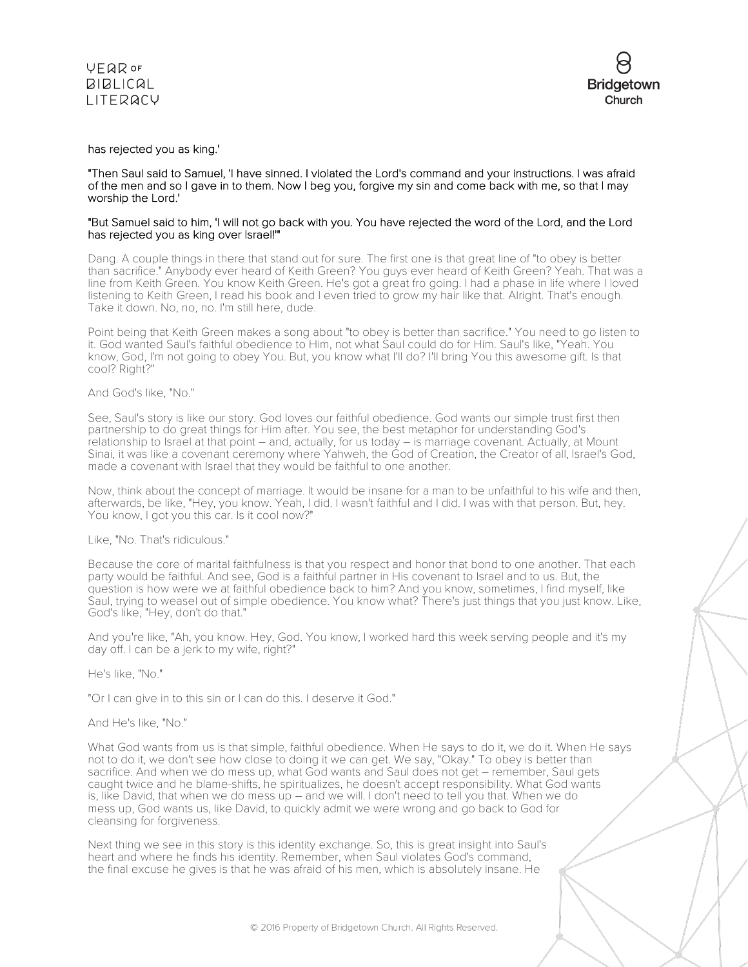



#### has rejected you as king.'

#### "Then Saul said to Samuel, 'I have sinned. I violated the Lord's command and your instructions. I was afraid of the men and so I gave in to them. Now I beg you, forgive my sin and come back with me, so that I may worship the Lord.'

#### "But Samuel said to him, 'I will not go back with you. You have rejected the word of the Lord, and the Lord has rejected you as king over Israel!'"

Dang. A couple things in there that stand out for sure. The first one is that great line of "to obey is better than sacrifice." Anybody ever heard of Keith Green? You guys ever heard of Keith Green? Yeah. That was a line from Keith Green. You know Keith Green. He's got a great fro going. I had a phase in life where I loved listening to Keith Green, I read his book and I even tried to grow my hair like that. Alright. That's enough. Take it down. No, no, no. I'm still here, dude.

Point being that Keith Green makes a song about "to obey is better than sacrifice." You need to go listen to it. God wanted Saul's faithful obedience to Him, not what Saul could do for Him. Saul's like, "Yeah. You know, God, I'm not going to obey You. But, you know what I'll do? I'll bring You this awesome gift. Is that cool? Right?"

#### And God's like, "No."

See, Saul's story is like our story. God loves our faithful obedience. God wants our simple trust first then partnership to do great things for Him after. You see, the best metaphor for understanding God's relationship to Israel at that point – and, actually, for us today – is marriage covenant. Actually, at Mount Sinai, it was like a covenant ceremony where Yahweh, the God of Creation, the Creator of all, Israel's God, made a covenant with Israel that they would be faithful to one another.

Now, think about the concept of marriage. It would be insane for a man to be unfaithful to his wife and then, afterwards, be like, "Hey, you know. Yeah, I did. I wasn't faithful and I did. I was with that person. But, hey. You know, I got you this car. Is it cool now?"

#### Like, "No. That's ridiculous."

Because the core of marital faithfulness is that you respect and honor that bond to one another. That each party would be faithful. And see, God is a faithful partner in His covenant to Israel and to us. But, the question is how were we at faithful obedience back to him? And you know, sometimes, I find myself, like Saul, trying to weasel out of simple obedience. You know what? There's just things that you just know. Like, God's like, "Hey, don't do that."

And you're like, "Ah, you know. Hey, God. You know, I worked hard this week serving people and it's my day off. I can be a jerk to my wife, right?"

#### He's like, "No."

"Or I can give in to this sin or I can do this. I deserve it God."

#### And He's like, "No."

What God wants from us is that simple, faithful obedience. When He says to do it, we do it. When He says not to do it, we don't see how close to doing it we can get. We say, "Okay." To obey is better than sacrifice. And when we do mess up, what God wants and Saul does not get – remember, Saul gets caught twice and he blame-shifts, he spiritualizes, he doesn't accept responsibility. What God wants is, like David, that when we do mess up – and we will. I don't need to tell you that. When we do mess up, God wants us, like David, to quickly admit we were wrong and go back to God for cleansing for forgiveness.

Next thing we see in this story is this identity exchange. So, this is great insight into Saul's heart and where he finds his identity. Remember, when Saul violates God's command, the final excuse he gives is that he was afraid of his men, which is absolutely insane. He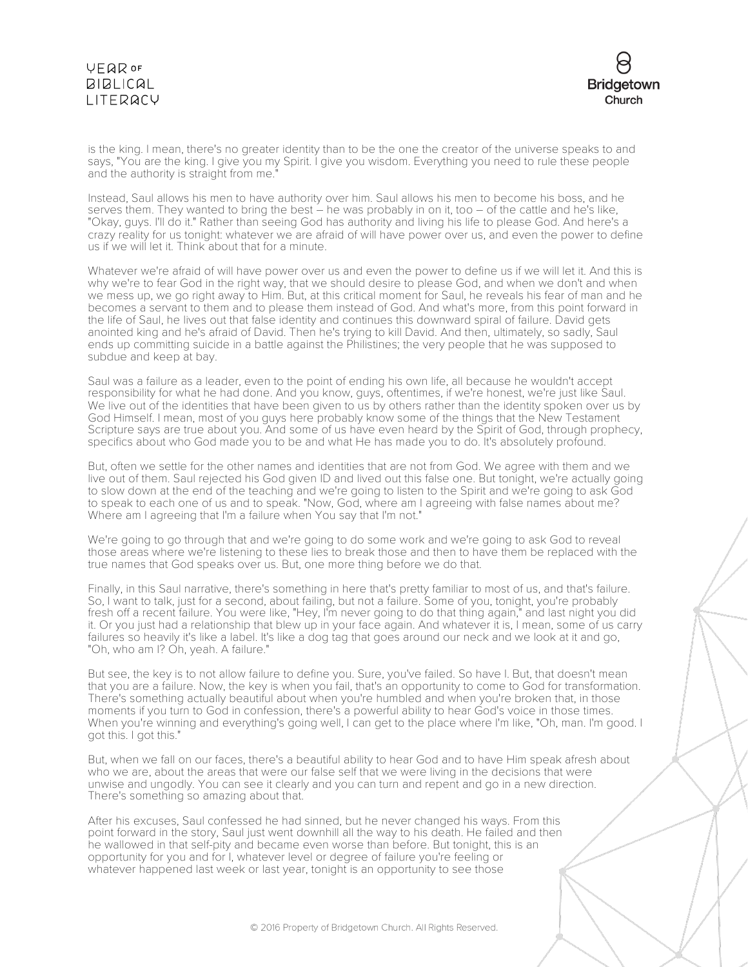# **VEQR OF BIBLICAL** LITERACY



is the king. I mean, there's no greater identity than to be the one the creator of the universe speaks to and says, "You are the king. I give you my Spirit. I give you wisdom. Everything you need to rule these people and the authority is straight from me."

Instead, Saul allows his men to have authority over him. Saul allows his men to become his boss, and he serves them. They wanted to bring the best - he was probably in on it, too - of the cattle and he's like, "Okay, guys. I'll do it." Rather than seeing God has authority and living his life to please God. And here's a crazy reality for us tonight: whatever we are afraid of will have power over us, and even the power to define us if we will let it. Think about that for a minute.

Whatever we're afraid of will have power over us and even the power to define us if we will let it. And this is why we're to fear God in the right way, that we should desire to please God, and when we don't and when we mess up, we go right away to Him. But, at this critical moment for Saul, he reveals his fear of man and he becomes a servant to them and to please them instead of God. And what's more, from this point forward in the life of Saul, he lives out that false identity and continues this downward spiral of failure. David gets anointed king and he's afraid of David. Then he's trying to kill David. And then, ultimately, so sadly, Saul ends up committing suicide in a battle against the Philistines; the very people that he was supposed to subdue and keep at bay.

Saul was a failure as a leader, even to the point of ending his own life, all because he wouldn't accept responsibility for what he had done. And you know, guys, oftentimes, if we're honest, we're just like Saul. We live out of the identities that have been given to us by others rather than the identity spoken over us by God Himself. I mean, most of you guys here probably know some of the things that the New Testament Scripture says are true about you. And some of us have even heard by the Spirit of God, through prophecy, specifics about who God made you to be and what He has made you to do. It's absolutely profound.

But, often we settle for the other names and identities that are not from God. We agree with them and we live out of them. Saul rejected his God given ID and lived out this false one. But tonight, we're actually going to slow down at the end of the teaching and we're going to listen to the Spirit and we're going to ask God to speak to each one of us and to speak. "Now, God, where am I agreeing with false names about me? Where am I agreeing that I'm a failure when You say that I'm not."

We're going to go through that and we're going to do some work and we're going to ask God to reveal those areas where we're listening to these lies to break those and then to have them be replaced with the true names that God speaks over us. But, one more thing before we do that.

Finally, in this Saul narrative, there's something in here that's pretty familiar to most of us, and that's failure. So, I want to talk, just for a second, about failing, but not a failure. Some of you, tonight, you're probably fresh off a recent failure. You were like, "Hey, I'm never going to do that thing again," and last night you did it. Or you just had a relationship that blew up in your face again. And whatever it is, I mean, some of us carry failures so heavily it's like a label. It's like a dog tag that goes around our neck and we look at it and go, "Oh, who am I? Oh, yeah. A failure."

But see, the key is to not allow failure to define you. Sure, you've failed. So have I. But, that doesn't mean that you are a failure. Now, the key is when you fail, that's an opportunity to come to God for transformation. There's something actually beautiful about when you're humbled and when you're broken that, in those moments if you turn to God in confession, there's a powerful ability to hear God's voice in those times. When you're winning and everything's going well, I can get to the place where I'm like, "Oh, man. I'm good. I got this. I got this."

But, when we fall on our faces, there's a beautiful ability to hear God and to have Him speak afresh about who we are, about the areas that were our false self that we were living in the decisions that were unwise and ungodly. You can see it clearly and you can turn and repent and go in a new direction. There's something so amazing about that.

After his excuses, Saul confessed he had sinned, but he never changed his ways. From this point forward in the story, Saul just went downhill all the way to his death. He failed and then he wallowed in that self-pity and became even worse than before. But tonight, this is an opportunity for you and for I, whatever level or degree of failure you're feeling or whatever happened last week or last year, tonight is an opportunity to see those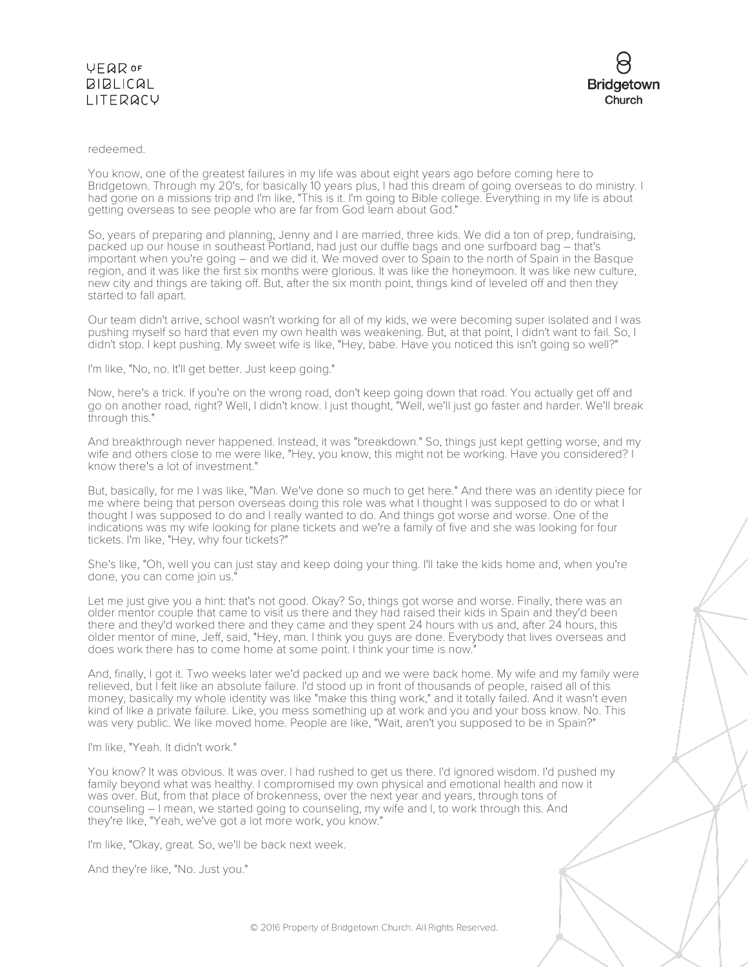## **VEQR OF BIBLICAL** LITERACY



### redeemed.

You know, one of the greatest failures in my life was about eight years ago before coming here to Bridgetown. Through my 20's, for basically 10 years plus, I had this dream of going overseas to do ministry. I had gone on a missions trip and I'm like, "This is it. I'm going to Bible college. Everything in my life is about getting overseas to see people who are far from God learn about God."

So, years of preparing and planning, Jenny and I are married, three kids. We did a ton of prep, fundraising, packed up our house in southeast Portland, had just our duffle bags and one surfboard bag – that's important when you're going – and we did it. We moved over to Spain to the north of Spain in the Basque region, and it was like the first six months were glorious. It was like the honeymoon. It was like new culture, new city and things are taking off. But, after the six month point, things kind of leveled off and then they started to fall apart.

Our team didn't arrive, school wasn't working for all of my kids, we were becoming super isolated and I was pushing myself so hard that even my own health was weakening. But, at that point, I didn't want to fail. So, I didn't stop. I kept pushing. My sweet wife is like, "Hey, babe. Have you noticed this isn't going so well?"

I'm like, "No, no. It'll get better. Just keep going."

Now, here's a trick. If you're on the wrong road, don't keep going down that road. You actually get off and go on another road, right? Well, I didn't know. I just thought, "Well, we'll just go faster and harder. We'll break through this."

And breakthrough never happened. Instead, it was "breakdown." So, things just kept getting worse, and my wife and others close to me were like, "Hey, you know, this might not be working. Have you considered? I know there's a lot of investment."

But, basically, for me I was like, "Man. We've done so much to get here." And there was an identity piece for me where being that person overseas doing this role was what I thought I was supposed to do or what I thought I was supposed to do and I really wanted to do. And things got worse and worse. One of the indications was my wife looking for plane tickets and we're a family of five and she was looking for four tickets. I'm like, "Hey, why four tickets?"

She's like, "Oh, well you can just stay and keep doing your thing. I'll take the kids home and, when you're done, you can come join us."

Let me just give you a hint: that's not good. Okay? So, things got worse and worse. Finally, there was an older mentor couple that came to visit us there and they had raised their kids in Spain and they'd been there and they'd worked there and they came and they spent 24 hours with us and, after 24 hours, this older mentor of mine, Jeff, said, "Hey, man. I think you guys are done. Everybody that lives overseas and does work there has to come home at some point. I think your time is now."

And, finally, I got it. Two weeks later we'd packed up and we were back home. My wife and my family were relieved, but I felt like an absolute failure. I'd stood up in front of thousands of people, raised all of this money, basically my whole identity was like "make this thing work," and it totally failed. And it wasn't even kind of like a private failure. Like, you mess something up at work and you and your boss know. No. This was very public. We like moved home. People are like, "Wait, aren't you supposed to be in Spain?"

I'm like, "Yeah. It didn't work."

You know? It was obvious. It was over. I had rushed to get us there. I'd ignored wisdom. I'd pushed my family beyond what was healthy. I compromised my own physical and emotional health and now it was over. But, from that place of brokenness, over the next year and years, through tons of counseling – I mean, we started going to counseling, my wife and I, to work through this. And they're like, "Yeah, we've got a lot more work, you know."

I'm like, "Okay, great. So, we'll be back next week.

And they're like, "No. Just you."